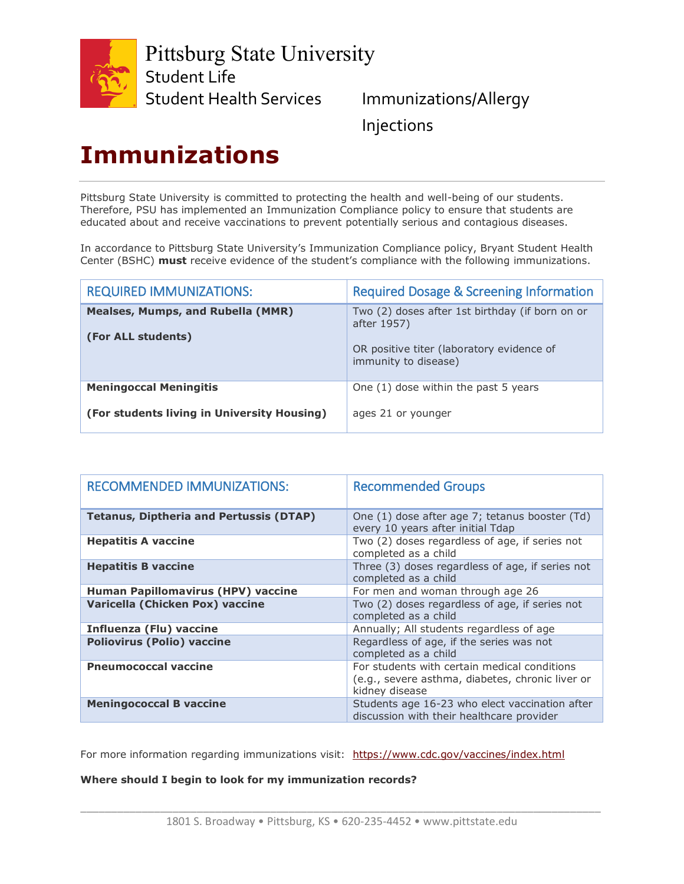

Pittsburg State University Student Life

Student Health Services Immunizations/Allergy

Injections

## **Immunizations**

Pittsburg State University is committed to protecting the health and well-being of our students. Therefore, PSU has implemented an Immunization Compliance policy to ensure that students are educated about and receive vaccinations to prevent potentially serious and contagious diseases.

In accordance to Pittsburg State University's Immunization Compliance policy, Bryant Student Health Center (BSHC) **must** receive evidence of the student's compliance with the following immunizations.

| <b>REQUIRED IMMUNIZATIONS:</b>                                               | <b>Required Dosage &amp; Screening Information</b>                                                                                  |
|------------------------------------------------------------------------------|-------------------------------------------------------------------------------------------------------------------------------------|
| <b>Mealses, Mumps, and Rubella (MMR)</b><br>(For ALL students)               | Two (2) doses after 1st birthday (if born on or<br>after 1957)<br>OR positive titer (laboratory evidence of<br>immunity to disease) |
| <b>Meningoccal Meningitis</b><br>(For students living in University Housing) | One (1) dose within the past 5 years<br>ages 21 or younger                                                                          |

| <b>RECOMMENDED IMMUNIZATIONS:</b>              | <b>Recommended Groups</b>                                                                                          |
|------------------------------------------------|--------------------------------------------------------------------------------------------------------------------|
| <b>Tetanus, Diptheria and Pertussis (DTAP)</b> | One (1) dose after age 7; tetanus booster (Td)<br>every 10 years after initial Tdap                                |
| <b>Hepatitis A vaccine</b>                     | Two (2) doses regardless of age, if series not<br>completed as a child                                             |
| <b>Hepatitis B vaccine</b>                     | Three (3) doses regardless of age, if series not<br>completed as a child                                           |
| <b>Human Papillomavirus (HPV) vaccine</b>      | For men and woman through age 26                                                                                   |
| Varicella (Chicken Pox) vaccine                | Two (2) doses regardless of age, if series not<br>completed as a child                                             |
| <b>Influenza (Flu) vaccine</b>                 | Annually; All students regardless of age                                                                           |
| <b>Poliovirus (Polio) vaccine</b>              | Regardless of age, if the series was not<br>completed as a child                                                   |
| <b>Pneumococcal vaccine</b>                    | For students with certain medical conditions<br>(e.g., severe asthma, diabetes, chronic liver or<br>kidney disease |
| <b>Meningococcal B vaccine</b>                 | Students age 16-23 who elect vaccination after<br>discussion with their healthcare provider                        |

For more information regarding immunizations visit: <https://www.cdc.gov/vaccines/index.html>

### **Where should I begin to look for my immunization records?**